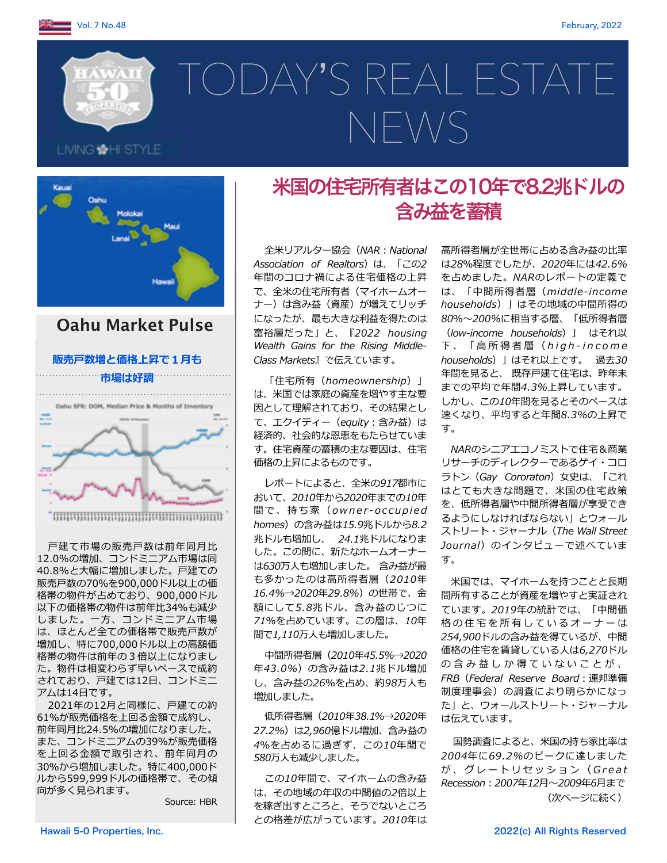LMNG HH STYLE

# TODAY'S REAL ESTATE NEWS



# **Oahu Market Pulse**

### 販売戸数増と価格上昇で1月も



戸建て市場の販売戸数は前年同月比 12.0%の増加、コンドミニアム市場は同 40.8%と大幅に増加しました。戸建ての 販売戸数の70%を900,000ドル以上の価 格帯の物件が占めており、900.000ドル 以下の価格帯の物件は前年比34%も減少 しました。一方、コンドミニアム市場 は、ほとんど全ての価格帯で販売戸数が 増加し、特に700,000ドル以上の高額価 格帯の物件は前年の3倍以上になりまし た。物件は相変わらず早いペースで成約 されており、戸建ては12日、コンドミニ アムは14日です。

2021年の12月と同様に、戸建ての約 61%が販売価格を上回る金額で成約し、 前年同月比24.5%の増加になりました。 また、コンドミニアムの39%が販売価格 を上回る金額で取引され、前年同月の 30%から増加しました。特に400,000ド ルから599,999ドルの価格帯で、その傾 向が多く見られます。

Source: HBR

# 米国の住宅所有者はこの10年で8.2兆ドルの 含み益を蓄積

全米リアルター協会 (NAR: National Association of Realtors) は、「この2 年間のコロナ禍による住宅価格の上昇 で、全米の住宅所有者(マイホームオー ナー)は含み益 (資産) が増えてリッチ になったが、最も大きな利益を得たのは 富裕層だった」と、『2022 housing Wealth Gains for the Rising Middle-Class Markets』で伝えています。

「住宅所有 (homeownership) 」 は、米国では家庭の資産を増やす主な要 因として理解されており、その結果とし て、エクイティー (equity: 含み益) は 経済的、社会的な恩恵をもたらせていま す。住宅資産の蓄積の主な要因は、住宅 価格の上昇によるものです。

レポートによると、全米の917都市に おいて、2010年から2020年までの10年 間で、持ち家 (owner-occupied homes) の含み益は15.9兆ドルから8.2 兆ドルも増加し、 24.1兆ドルになりま した。この間に、新たなホームオーナー は630万人も増加しました。 含み益が最 も多かったのは高所得者層 (2010年 16.4%→2020年29.8%)の世帯で、金 額にして5.8兆ドル、含み益のじつに 71%を占めています。この層は、10年 間で1,110万人も増加しました。

中間所得者層 (2010年45.5%→2020 年43.0%) の含み益は2.1兆ドル増加 し、含み益の26%を占め、約98万人も 増加しました。

低所得者層 (2010年38.1%→2020年 27.2%)は2,960億ドル増加、含み益の 4%を占めるに過ぎず、この10年間で 580万人も減少しました。

この10年間で、マイホームの含み益 は、その地域の年収の中間値の2倍以上 を稼ぎ出すところと、そうでないところ との格差が広がっています。2010年は

高所得者層が全世帯に占める含み益の比率 は28%程度でしたが、2020年には42.6% を占めました。NARのレポートの定義で は、「中間所得者層 (middle-income households)」はその地域の中間所得の 80%~200%に相当する層、「低所得者層 (low-income households) | はそれ以 下、「高所得者層(high-income households)」はそれ以上です。 過去30 年間を見ると、 既存戸建て住宅は、昨年末 までの平均で年間4.3%上昇しています。 しかし、この10年間を見るとそのペースは 速くなり、平均すると年間8.3%の上昇で す。

NARのシニアエコノミストで住宅&商業 リサーチのディレクターであるゲイ・コロ ラトン (Gay Cororaton) 女史は、「これ はとても大きな問題で、米国の住宅政策 を、低所得者層や中間所得者層が享受でき るようにしなければならない」とウォール ストリート・ジャーナル (The Wall Street Journal) のインタビューで述べていま す。

米国では、マイホームを持つことと長期 間所有することが資産を増やすと実証され ています。2019年の統計では、「中間価 格の住宅を所有しているオーナーは 254,900ドルの含み益を得ているが、中間 価格の住宅を賃貸している人は6,270ドル の含み益しか得ていないことが、 FRB (Federal Reserve Board: 連邦準備 制度理事会)の調査により明らかになっ た」と、ウォールストリート・ジャーナル は伝えています。

国勢調査によると、米国の持ち家比率は 2004年に69.2%のピークに達しました が、グレートリセッション (Great Recession: 2007年12月~2009年6月まで (次ページに続く)